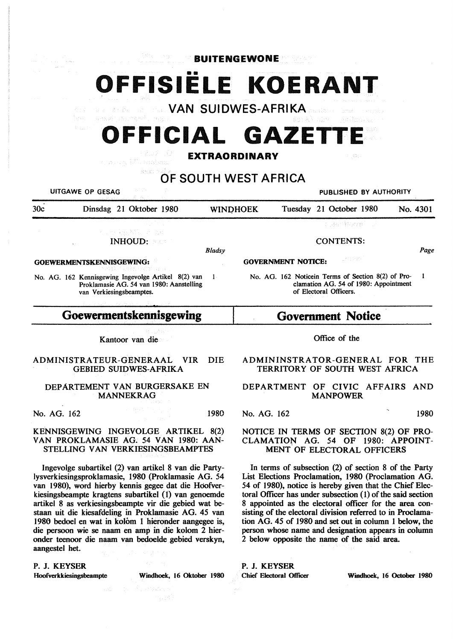•• **OFFISIELE KOERANT VAN SUIDWES-AFRIKA** 

**BUITENGEWONE** 



発展図引

in day.

# **OF SOUTH WEST AFRICA**

UITGAWE OP GESAG PUBLISHED BY AUTHORITY

| 30c                      | Dinsdag 21 Oktober 1980      | <b>WINDHOEK</b>                        | Tuesday 21 October 1980 | No. 4301 |
|--------------------------|------------------------------|----------------------------------------|-------------------------|----------|
|                          |                              |                                        | on de Stadistica        |          |
|                          | 计加工程序 网络普通人名 化五氟化<br>INHOUD: |                                        | <b>CONTENTS:</b>        |          |
|                          |                              | <b>Bladsy</b>                          |                         | Page     |
| GOEWERMENTSKENNISGEWING: |                              | usta patr<br><b>GOVERNMENT NOTICE:</b> |                         |          |

No. AG. 162 Kennisgewing Ingevolge Artikel 8(2) van 1 Proklamasie AG. 54 van 1980: Aanstelling

van Verkiesingsbeamptes.

# **Goewermentskennisgewing**

Kantoor van die

#### ADMINISTRA TEUR-GENERAAL VIR DIE GEBIED SUIDWES-AFRIKA

### DEPARTEMENT VAN BURGERSAKE EN MANNEKRAG

No. AG. 162 1980

## KENNISGEWING INGEVOLGE ARTIKEL 8(2) VAN PROKLAMASIE AG. 54 VAN 1980: AAN-STELLING VAN VERKIESINGSBEAMPTES

Ingevolge subartikel (2) van artikel 8 van die Partylysverkiesingsproklamasie, 1980 (Proklamasie AG. 54 van 1980), word hierby kennis gegee dat die Hoofverkiesingsbeampte kragtens subartikel (1) van genoemde artikel 8 as verkiesingsbeampte vir die gebied wat bestaan uit die kiesafdeling in Proklamasie AG. 45 van 1986 bedoel en wat in kolom 1 hieronder aangegee is, die persoon wie se naam en amp in die kolom 2 hieronder teenoor die naam van bedoelde gebied verskyn, aangestel het.

#### P. J. KEYSER

Hoofverkkiesingsbeampte Windhoek, 16 Oktober 1980

# **Government Notice**

of Electoral Officers.

#### Office of the

No. AG. 162 Noticein Terms of Section 8(2) of Pro- 1

clamation AG. 54 of 1980: Appointment

# ADMININSTRATOR-GENERAL FOR THE TERRITORY OF SOUTH WEST AFRICA

### DEPARTMENT OF CIVIC AFFAIRS AND MANPOWER

No. AG. 162 1980

## NOTICE IN TERMS OF SECTION 8(2) OF PRO-CLAMATION AG. 54 OF 1980: APPOINT-MENT OF ELECTORAL OFFICERS

In terms of subsection (2) of section 8 of the Party List Elections Proclamation, 1980 (Proclamation AG. 54 of 1980), notice is hereby given that the Chief Electoral Officer has under subsection (1) of the said section 8 appointed as the electoral officer for the area consisting of the electoral division referred to in Proclamation AG. 45 of 1980 and set out in column 1 below, the person whose name and designation appears in column 2 below opposite the name of the said area.

P. J. KEYSER

Chief Electoral Officer Windhoek, 16 October 1980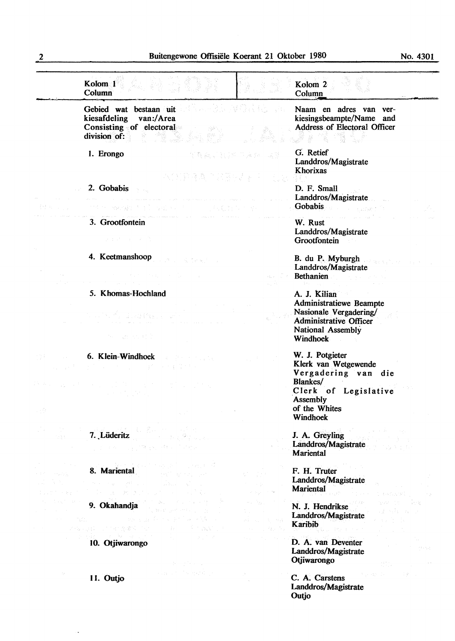No. 4301

| Kolom 1<br><b>Column</b>                                                                                                                                                                                                                                                                                                                                                                       |                | Kolom <sub>2</sub><br>Column                                                                                                                       |
|------------------------------------------------------------------------------------------------------------------------------------------------------------------------------------------------------------------------------------------------------------------------------------------------------------------------------------------------------------------------------------------------|----------------|----------------------------------------------------------------------------------------------------------------------------------------------------|
| Gebied wat bestaan uit de staat is a staat op de staat is de staat in de staat is alle staat in de staat is alle<br>kiesafdeling van:/Area<br>Consisting of electoral<br>- 4월 15<br>division of:                                                                                                                                                                                               |                | Naam en adres van ver-<br>kiesingsbeampte/Name and<br>Address of Electoral Officer<br>LF FOR TIME                                                  |
| 1. Erongo<br>不能發達為 医脑腔动脉 医心态处                                                                                                                                                                                                                                                                                                                                                                  | 军警藏、官员和四乘 经一属商 | G. Retief<br>Landdros/Magistrate<br>Khorixas                                                                                                       |
| 2. Gobabis                                                                                                                                                                                                                                                                                                                                                                                     |                | D. F. Small<br>Landdros/Magistrate                                                                                                                 |
| 的条件 网络海豚 有手的 可爱 经公债 人名 人名利克利 化十分层                                                                                                                                                                                                                                                                                                                                                              |                | Gobabis and the company of the second second                                                                                                       |
| 3. Grootfontein<br>つきのもの おとばし 高                                                                                                                                                                                                                                                                                                                                                                |                | W. Rust<br>Landdros/Magistrate<br>Grootfontein                                                                                                     |
| 4. Keetmanshoop<br>$\label{eq:2.1} \mathcal{L}^{\mathcal{A}}(\mathcal{A})=\mathcal{L}^{\mathcal{A}}(\mathcal{A})\mathcal{L}^{\mathcal{A}}(\mathcal{A})=\mathcal{L}^{\mathcal{A}}(\mathcal{A})\mathcal{L}^{\mathcal{A}}(\mathcal{A})=\mathcal{L}^{\mathcal{A}}(\mathcal{A})\mathcal{L}^{\mathcal{A}}(\mathcal{A})=\mathcal{L}^{\mathcal{A}}(\mathcal{A})\mathcal{L}^{\mathcal{A}}(\mathcal{A})$ |                | B. du P. Myburgh<br>Landdros/Magistrate<br><b>Bethanien</b>                                                                                        |
|                                                                                                                                                                                                                                                                                                                                                                                                |                | and Processing Control                                                                                                                             |
| 5. Khomas-Hochland<br>the Control of Constitution of<br>中心 动医小叶的                                                                                                                                                                                                                                                                                                                               |                | A. J. Kilian<br><b>Administratiewe Beampte</b><br>Nasionale Vergadering/<br><b>Administrative Officer</b><br>National Assembly<br>Windhoek         |
| <b>6. Klein-Windhoek 6. Klein-Windhoek</b><br>医克里利氏征 医心理性神经细胞的                                                                                                                                                                                                                                                                                                                                 |                | W. J. Potgieter<br>Klerk van Wetgewende<br>Vergadering van die<br>Blankes/<br>Clerk of Legislative<br><b>Assembly</b><br>of the Whites<br>Windhoek |
| 7. Lüderitz<br>ta glati<br><b>可以</b> 是不可以通过保证的一种的。                                                                                                                                                                                                                                                                                                                                             |                | J. A. Greyling<br>Landdros/Magistrate<br><b>Mariental</b>                                                                                          |
| 8. Mariental<br>$\psi_{\alpha\beta}$ , $\psi_{\beta\gamma}$<br>$\label{eq:3.1} \mathcal{F} = \{ \alpha(x) \mid x \in \mathbb{R} \} \quad \text{and} \quad \mathcal{F}^{\text{1}}(x, y) = \mathcal{F}^{\text{2}}(x, y)$<br><b>Contractor</b><br>しっちゃく ほうしゃ あいかいしん                                                                                                                               |                | F. H. Truter<br>Landdros/Magistrate<br><b>Mariental</b><br>the expertised                                                                          |
| 9. Okahandja<br>and the most professional pro-<br>$\label{eq:3.1} \mathcal{F}(\mathcal{F}) = \mathcal{F}^{\mathcal{F}}_{\mathbf{L}}(\mathcal{F}_{\mathbf{L}}) = \mathcal{F}^{\mathcal{F}}_{\mathbf{L}}(\mathcal{F}_{\mathbf{L}})$<br>不适合原则,以下不动态,都应下心。<br>i film a sa shekarar ne                                                                                                              |                | ほど 随<br>N. J. Hendrikse<br>Landdros/Magistrate<br>Karibib                                                                                          |
| and the state<br>10. Otjiwarongo<br>(トードを) ()                                                                                                                                                                                                                                                                                                                                                  |                | D. A. van Deventer<br>Landdros/Magistrate<br>Otjiwarongo<br>自分。                                                                                    |
| 医异常性的 医无牙根 经合同<br>11. Outjo                                                                                                                                                                                                                                                                                                                                                                    |                | ar exporter comp<br>C. A. Carstens<br>Landdros/Magistrate<br>Outjo                                                                                 |

 $\ddot{\phantom{0}}$